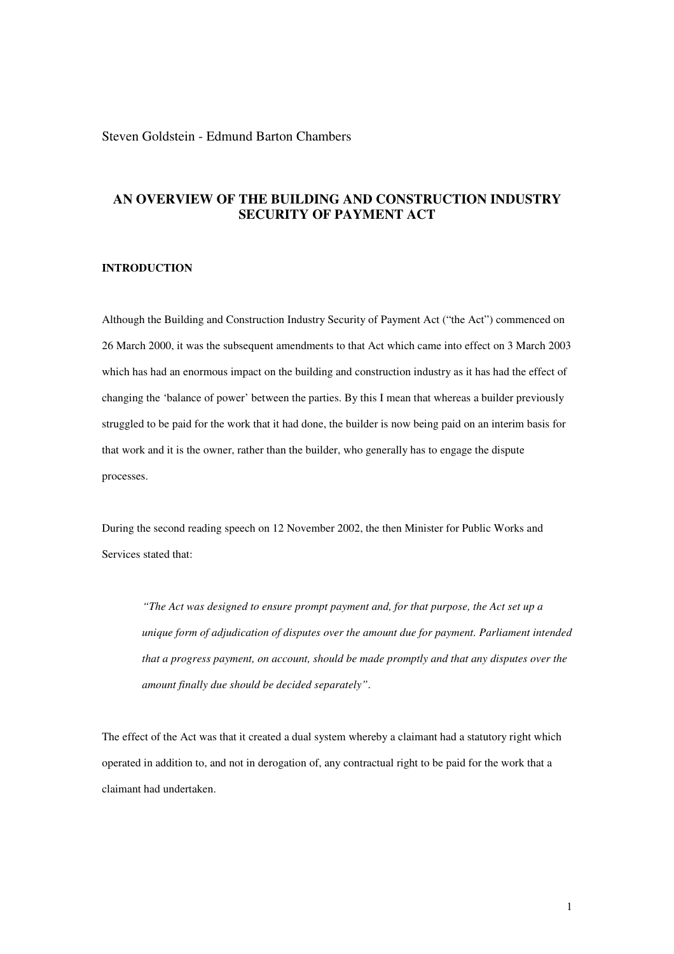## Steven Goldstein - Edmund Barton Chambers

# **AN OVERVIEW OF THE BUILDING AND CONSTRUCTION INDUSTRY SECURITY OF PAYMENT ACT**

### **INTRODUCTION**

Although the Building and Construction Industry Security of Payment Act ("the Act") commenced on 26 March 2000, it was the subsequent amendments to that Act which came into effect on 3 March 2003 which has had an enormous impact on the building and construction industry as it has had the effect of changing the 'balance of power' between the parties. By this I mean that whereas a builder previously struggled to be paid for the work that it had done, the builder is now being paid on an interim basis for that work and it is the owner, rather than the builder, who generally has to engage the dispute processes.

During the second reading speech on 12 November 2002, the then Minister for Public Works and Services stated that:

*"The Act was designed to ensure prompt payment and, for that purpose, the Act set up a unique form of adjudication of disputes over the amount due for payment. Parliament intended that a progress payment, on account, should be made promptly and that any disputes over the amount finally due should be decided separately"*.

The effect of the Act was that it created a dual system whereby a claimant had a statutory right which operated in addition to, and not in derogation of, any contractual right to be paid for the work that a claimant had undertaken.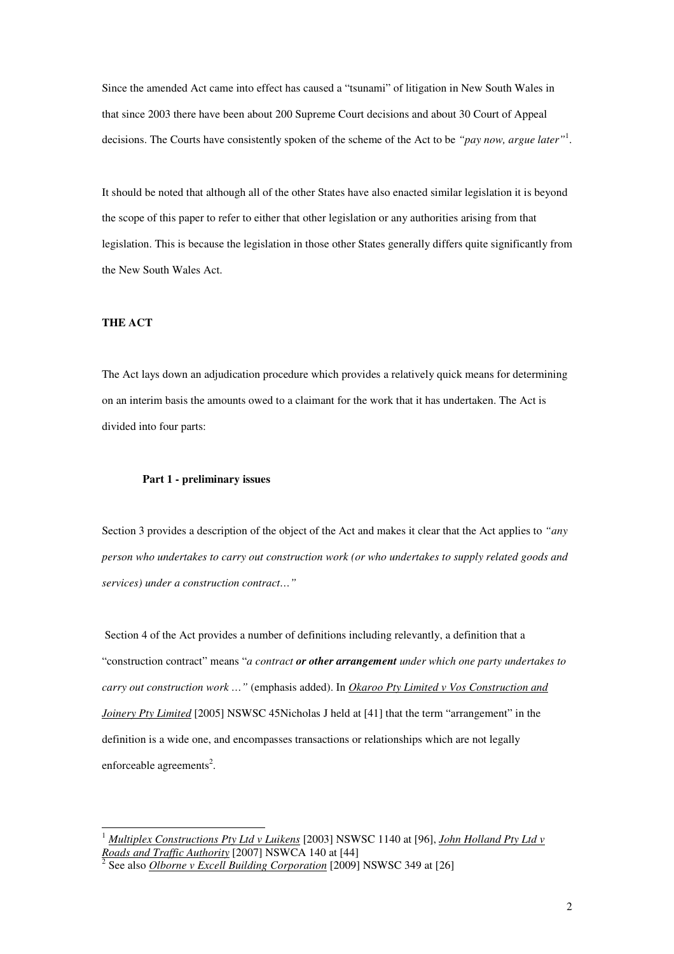Since the amended Act came into effect has caused a "tsunami" of litigation in New South Wales in that since 2003 there have been about 200 Supreme Court decisions and about 30 Court of Appeal decisions. The Courts have consistently spoken of the scheme of the Act to be *"pay now, argue later"*<sup>1</sup> .

It should be noted that although all of the other States have also enacted similar legislation it is beyond the scope of this paper to refer to either that other legislation or any authorities arising from that legislation. This is because the legislation in those other States generally differs quite significantly from the New South Wales Act.

#### **THE ACT**

 $\overline{a}$ 

The Act lays down an adjudication procedure which provides a relatively quick means for determining on an interim basis the amounts owed to a claimant for the work that it has undertaken. The Act is divided into four parts:

#### **Part 1 - preliminary issues**

Section 3 provides a description of the object of the Act and makes it clear that the Act applies to *"any person who undertakes to carry out construction work (or who undertakes to supply related goods and services) under a construction contract…"* 

 Section 4 of the Act provides a number of definitions including relevantly, a definition that a "construction contract" means "*a contract or other arrangement under which one party undertakes to carry out construction work …"* (emphasis added). In *Okaroo Pty Limited v Vos Construction and Joinery Pty Limited* [2005] NSWSC 45Nicholas J held at [41] that the term "arrangement" in the definition is a wide one, and encompasses transactions or relationships which are not legally enforceable agreements<sup>2</sup>.

<sup>1</sup> *Multiplex Constructions Pty Ltd v Luikens* [2003] NSWSC 1140 at [96], *John Holland Pty Ltd v Roads and Traffic Authority* [2007] NSWCA 140 at [44] 2

See also *Olborne v Excell Building Corporation* [2009] NSWSC 349 at [26]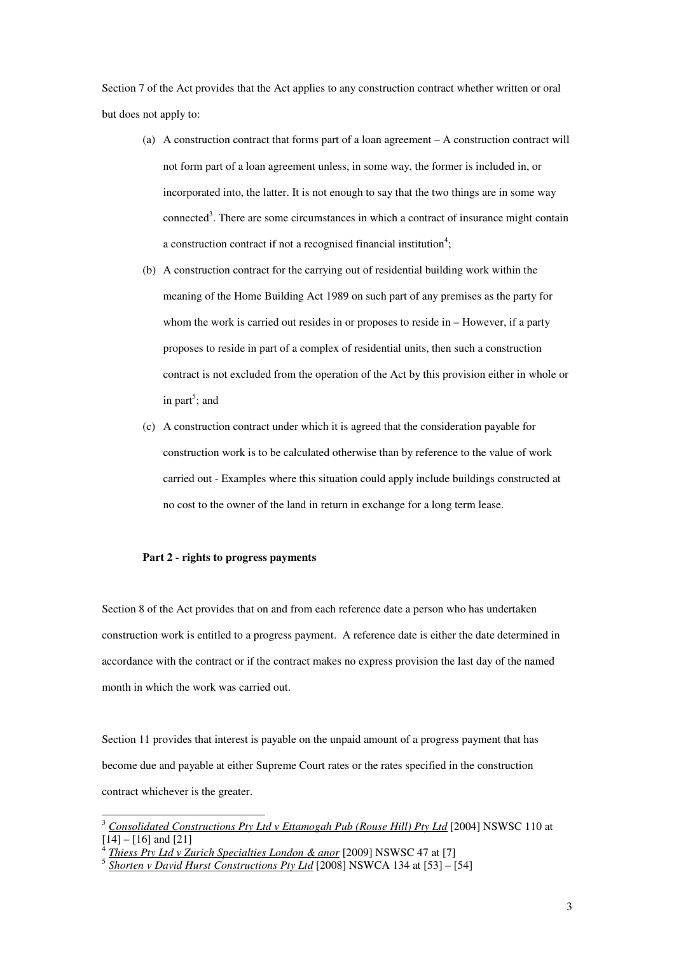Section 7 of the Act provides that the Act applies to any construction contract whether written or oral but does not apply to:

- (a) A construction contract that forms part of a loan agreement A construction contract will not form part of a loan agreement unless, in some way, the former is included in, or incorporated into, the latter. It is not enough to say that the two things are in some way connected<sup>3</sup>. There are some circumstances in which a contract of insurance might contain a construction contract if not a recognised financial institution<sup>4</sup>;
- (b) A construction contract for the carrying out of residential building work within the meaning of the Home Building Act 1989 on such part of any premises as the party for whom the work is carried out resides in or proposes to reside in – However, if a party proposes to reside in part of a complex of residential units, then such a construction contract is not excluded from the operation of the Act by this provision either in whole or in part<sup>5</sup>; and
- (c) A construction contract under which it is agreed that the consideration payable for construction work is to be calculated otherwise than by reference to the value of work carried out - Examples where this situation could apply include buildings constructed at no cost to the owner of the land in return in exchange for a long term lease.

#### **Part 2 - rights to progress payments**

 $\overline{a}$ 

Section 8 of the Act provides that on and from each reference date a person who has undertaken construction work is entitled to a progress payment. A reference date is either the date determined in accordance with the contract or if the contract makes no express provision the last day of the named month in which the work was carried out.

Section 11 provides that interest is payable on the unpaid amount of a progress payment that has become due and payable at either Supreme Court rates or the rates specified in the construction contract whichever is the greater.

<sup>3</sup> *Consolidated Constructions Pty Ltd v Ettamogah Pub (Rouse Hill) Pty Ltd* [2004] NSWSC 110 at [14] – [16] and [21]

<sup>4</sup> *Thiess Pty Ltd v Zurich Specialties London & anor* [2009] NSWSC 47 at [7]

<sup>5</sup> *Shorten v David Hurst Constructions Pty Ltd* [2008] NSWCA 134 at [53] – [54]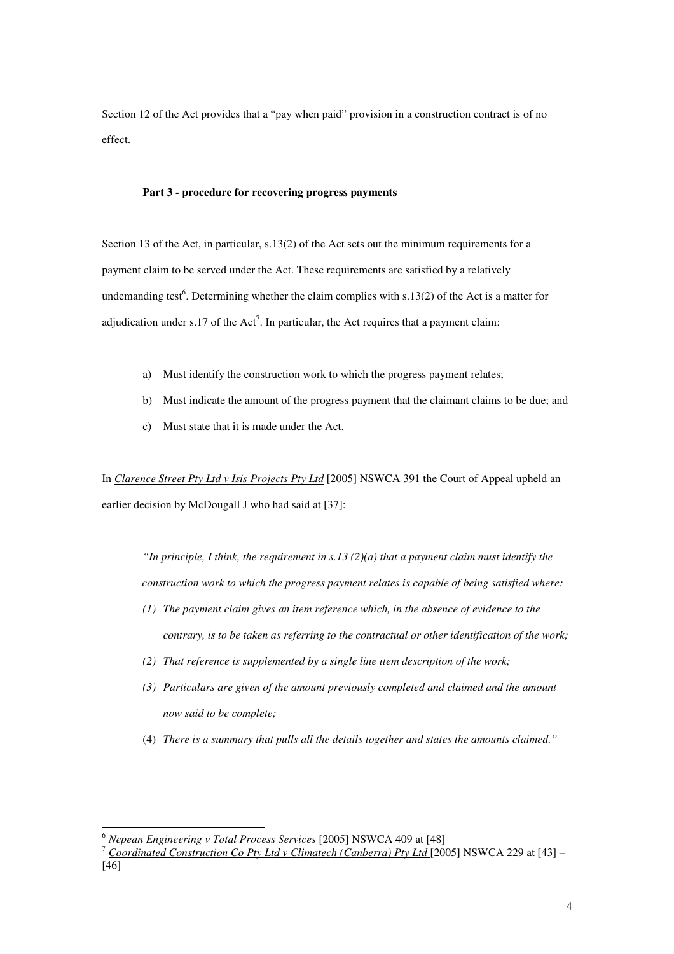Section 12 of the Act provides that a "pay when paid" provision in a construction contract is of no effect.

#### **Part 3 - procedure for recovering progress payments**

Section 13 of the Act, in particular, s.13(2) of the Act sets out the minimum requirements for a payment claim to be served under the Act. These requirements are satisfied by a relatively undemanding test<sup>6</sup>. Determining whether the claim complies with s.13(2) of the Act is a matter for adjudication under s.17 of the  $Act^7$ . In particular, the Act requires that a payment claim:

- a) Must identify the construction work to which the progress payment relates;
- b) Must indicate the amount of the progress payment that the claimant claims to be due; and
- c) Must state that it is made under the Act.

In *Clarence Street Pty Ltd v Isis Projects Pty Ltd* [2005] NSWCA 391 the Court of Appeal upheld an earlier decision by McDougall J who had said at [37]:

*"In principle, I think, the requirement in s.13 (2)(a) that a payment claim must identify the construction work to which the progress payment relates is capable of being satisfied where:* 

- *(1) The payment claim gives an item reference which, in the absence of evidence to the contrary, is to be taken as referring to the contractual or other identification of the work;*
- *(2) That reference is supplemented by a single line item description of the work;*
- *(3) Particulars are given of the amount previously completed and claimed and the amount now said to be complete;*
- (4) *There is a summary that pulls all the details together and states the amounts claimed."*

<sup>6</sup> *Nepean Engineering v Total Process Services* [2005] NSWCA 409 at [48]

<sup>7</sup> *Coordinated Construction Co Pty Ltd v Climatech (Canberra) Pty Ltd* [2005] NSWCA 229 at [43] – [46]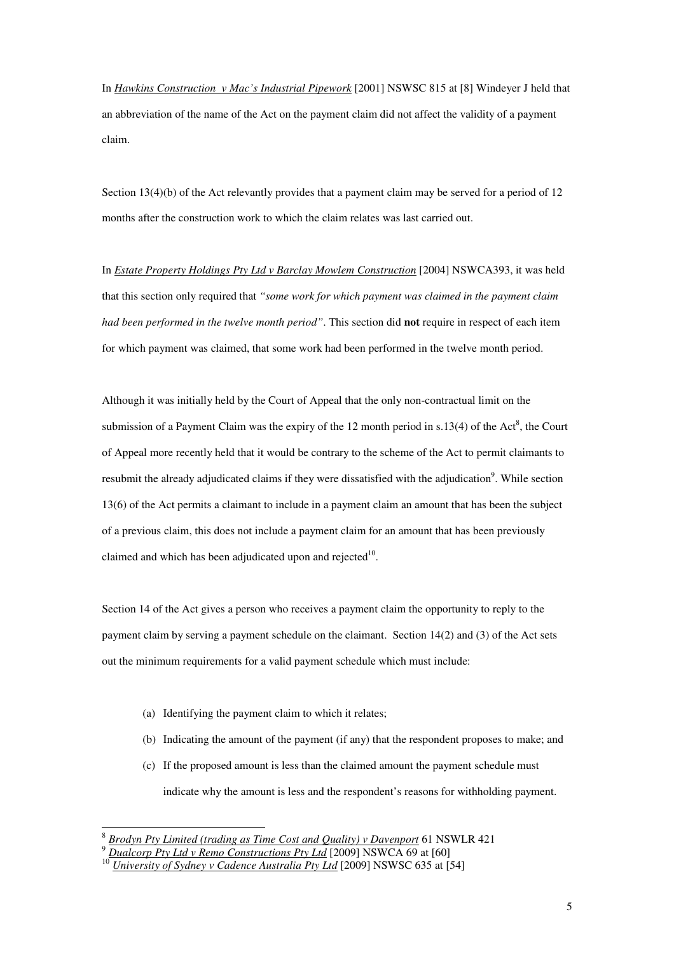In *Hawkins Construction v Mac's Industrial Pipework* [2001] NSWSC 815 at [8] Windeyer J held that an abbreviation of the name of the Act on the payment claim did not affect the validity of a payment claim.

Section 13(4)(b) of the Act relevantly provides that a payment claim may be served for a period of 12 months after the construction work to which the claim relates was last carried out.

In *Estate Property Holdings Pty Ltd v Barclay Mowlem Construction* [2004] NSWCA393, it was held that this section only required that *"some work for which payment was claimed in the payment claim had been performed in the twelve month period"*. This section did **not** require in respect of each item for which payment was claimed, that some work had been performed in the twelve month period.

Although it was initially held by the Court of Appeal that the only non-contractual limit on the submission of a Payment Claim was the expiry of the 12 month period in s.13(4) of the Act<sup>8</sup>, the Court of Appeal more recently held that it would be contrary to the scheme of the Act to permit claimants to resubmit the already adjudicated claims if they were dissatisfied with the adjudication<sup>9</sup>. While section 13(6) of the Act permits a claimant to include in a payment claim an amount that has been the subject of a previous claim, this does not include a payment claim for an amount that has been previously claimed and which has been adjudicated upon and rejected $10$ .

Section 14 of the Act gives a person who receives a payment claim the opportunity to reply to the payment claim by serving a payment schedule on the claimant. Section 14(2) and (3) of the Act sets out the minimum requirements for a valid payment schedule which must include:

(a) Identifying the payment claim to which it relates;

- (b) Indicating the amount of the payment (if any) that the respondent proposes to make; and
- (c) If the proposed amount is less than the claimed amount the payment schedule must indicate why the amount is less and the respondent's reasons for withholding payment.

<sup>8</sup> *Brodyn Pty Limited (trading as Time Cost and Quality) v Davenport* 61 NSWLR 421

<sup>9</sup> *Dualcorp Pty Ltd v Remo Constructions Pty Ltd* [2009] NSWCA 69 at [60]

<sup>&</sup>lt;sup>10</sup> *University of Sydney v Cadence Australia Pty Ltd* [2009] NSWSC 635 at [54]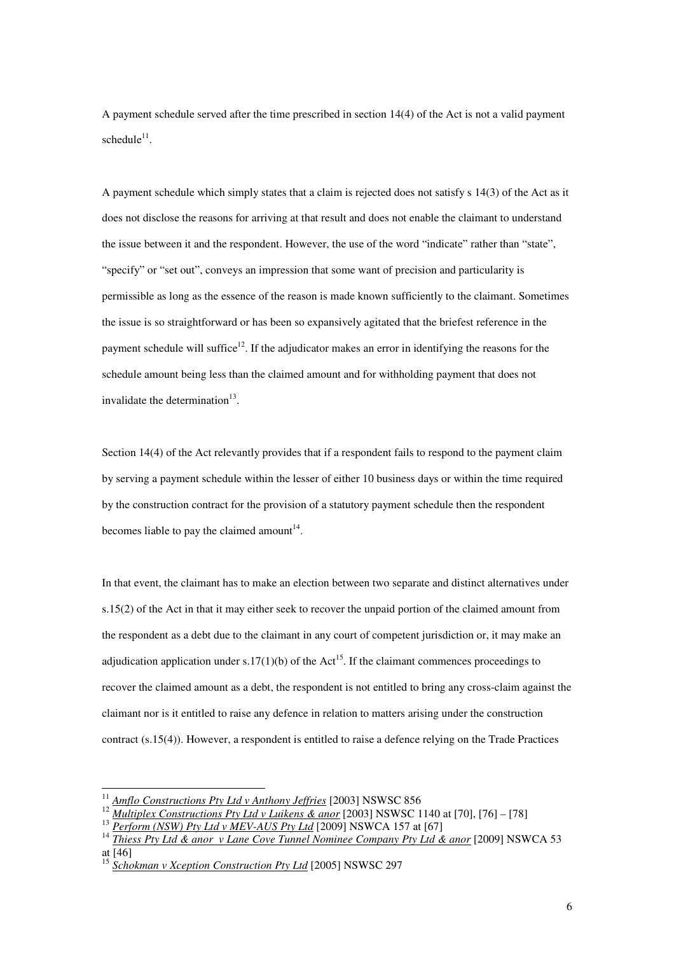A payment schedule served after the time prescribed in section 14(4) of the Act is not a valid payment  $s$ chedule<sup>11</sup>.

A payment schedule which simply states that a claim is rejected does not satisfy s 14(3) of the Act as it does not disclose the reasons for arriving at that result and does not enable the claimant to understand the issue between it and the respondent. However, the use of the word "indicate" rather than "state", "specify" or "set out", conveys an impression that some want of precision and particularity is permissible as long as the essence of the reason is made known sufficiently to the claimant. Sometimes the issue is so straightforward or has been so expansively agitated that the briefest reference in the payment schedule will suffice<sup>12</sup>. If the adjudicator makes an error in identifying the reasons for the schedule amount being less than the claimed amount and for withholding payment that does not invalidate the determination $13$ .

Section 14(4) of the Act relevantly provides that if a respondent fails to respond to the payment claim by serving a payment schedule within the lesser of either 10 business days or within the time required by the construction contract for the provision of a statutory payment schedule then the respondent becomes liable to pay the claimed amount<sup>14</sup>.

In that event, the claimant has to make an election between two separate and distinct alternatives under s.15(2) of the Act in that it may either seek to recover the unpaid portion of the claimed amount from the respondent as a debt due to the claimant in any court of competent jurisdiction or, it may make an adjudication application under s.17(1)(b) of the Act<sup>15</sup>. If the claimant commences proceedings to recover the claimed amount as a debt, the respondent is not entitled to bring any cross-claim against the claimant nor is it entitled to raise any defence in relation to matters arising under the construction contract (s.15(4)). However, a respondent is entitled to raise a defence relying on the Trade Practices

<sup>11</sup> *Amflo Constructions Pty Ltd v Anthony Jeffries* [2003] NSWSC 856

<sup>12</sup> *Multiplex Constructions Pty Ltd v Luikens & anor* [2003] NSWSC 1140 at [70], [76] – [78]

<sup>&</sup>lt;sup>13</sup> *Perform (NSW) Pty Ltd v MEV-AUS Pty Ltd* [2009] NSWCA 157 at [67]

<sup>14</sup> *Thiess Pty Ltd & anor v Lane Cove Tunnel Nominee Company Pty Ltd & anor* [2009] NSWCA 53 at [46]

<sup>15</sup> *Schokman v Xception Construction Pty Ltd* [2005] NSWSC 297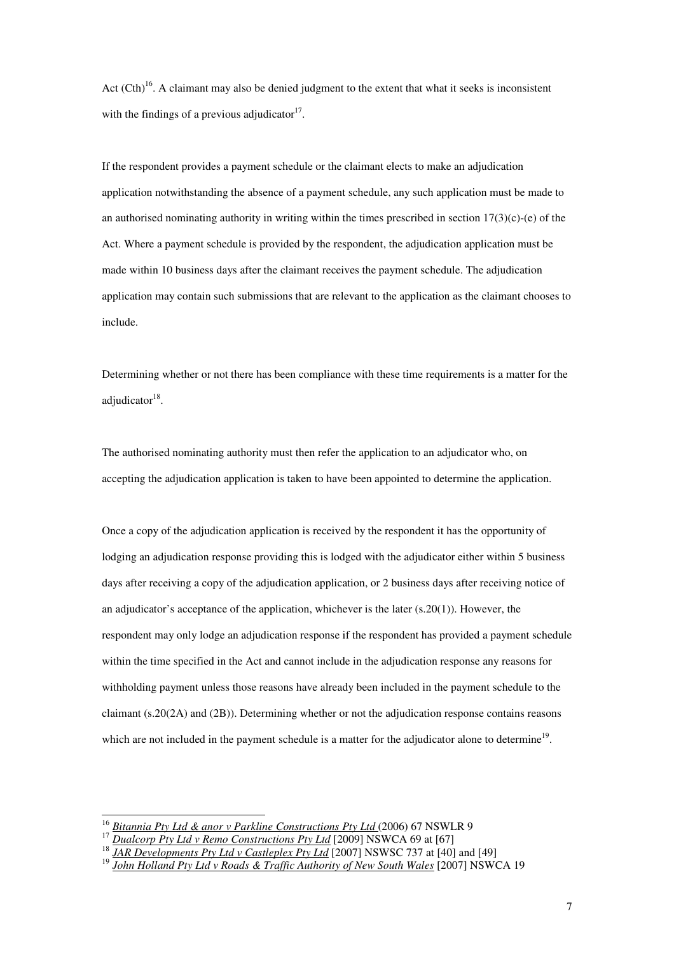Act  $(Cth)^{16}$ . A claimant may also be denied judgment to the extent that what it seeks is inconsistent with the findings of a previous adjudicator $17$ .

If the respondent provides a payment schedule or the claimant elects to make an adjudication application notwithstanding the absence of a payment schedule, any such application must be made to an authorised nominating authority in writing within the times prescribed in section  $17(3)(c)$ -(e) of the Act. Where a payment schedule is provided by the respondent, the adjudication application must be made within 10 business days after the claimant receives the payment schedule. The adjudication application may contain such submissions that are relevant to the application as the claimant chooses to include.

Determining whether or not there has been compliance with these time requirements is a matter for the adjudicator<sup>18</sup>.

The authorised nominating authority must then refer the application to an adjudicator who, on accepting the adjudication application is taken to have been appointed to determine the application.

Once a copy of the adjudication application is received by the respondent it has the opportunity of lodging an adjudication response providing this is lodged with the adjudicator either within 5 business days after receiving a copy of the adjudication application, or 2 business days after receiving notice of an adjudicator's acceptance of the application, whichever is the later  $(s.20(1))$ . However, the respondent may only lodge an adjudication response if the respondent has provided a payment schedule within the time specified in the Act and cannot include in the adjudication response any reasons for withholding payment unless those reasons have already been included in the payment schedule to the claimant (s.20(2A) and (2B)). Determining whether or not the adjudication response contains reasons which are not included in the payment schedule is a matter for the adjudicator alone to determine<sup>19</sup>.

<sup>&</sup>lt;sup>16</sup> *Bitannia Pty Ltd & anor v Parkline Constructions Pty Ltd* (2006) 67 NSWLR 9

<sup>&</sup>lt;sup>17</sup> Dualcorp Pty Ltd v Remo Constructions Pty Ltd [2009] NSWCA 69 at [67]

<sup>&</sup>lt;sup>18</sup> *JAR Developments Pty Ltd v Castleplex Pty Ltd* [2007] NSWSC 737 at [40] and [49]

<sup>19</sup> *John Holland Pty Ltd v Roads & Traffic Authority of New South Wales* [2007] NSWCA 19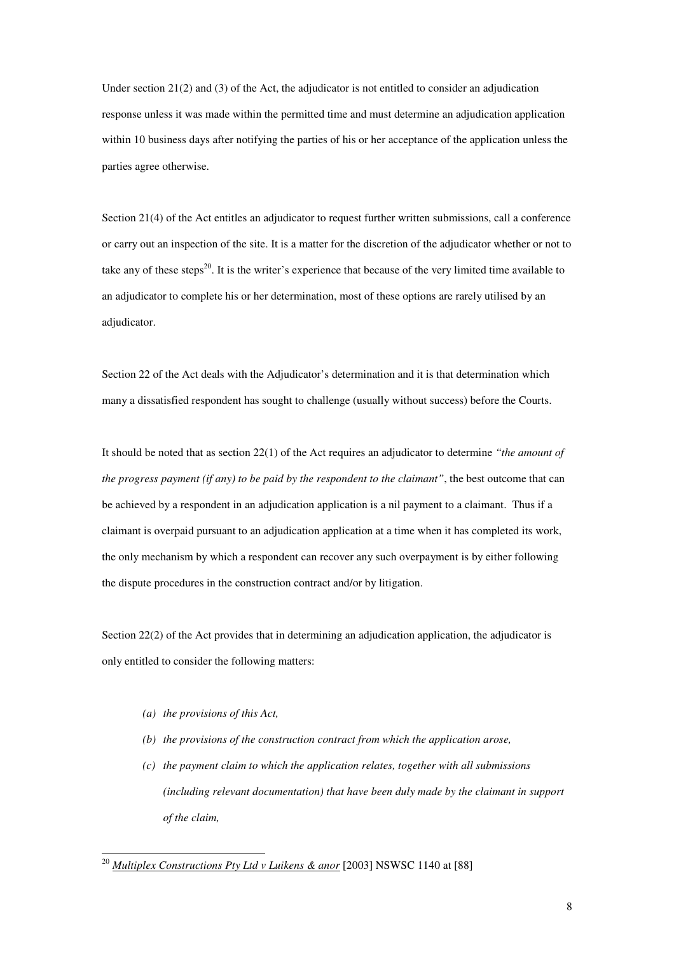Under section  $21(2)$  and (3) of the Act, the adjudicator is not entitled to consider an adjudication response unless it was made within the permitted time and must determine an adjudication application within 10 business days after notifying the parties of his or her acceptance of the application unless the parties agree otherwise.

Section 21(4) of the Act entitles an adjudicator to request further written submissions, call a conference or carry out an inspection of the site. It is a matter for the discretion of the adjudicator whether or not to take any of these steps<sup>20</sup>. It is the writer's experience that because of the very limited time available to an adjudicator to complete his or her determination, most of these options are rarely utilised by an adjudicator.

Section 22 of the Act deals with the Adjudicator's determination and it is that determination which many a dissatisfied respondent has sought to challenge (usually without success) before the Courts.

It should be noted that as section 22(1) of the Act requires an adjudicator to determine *"the amount of the progress payment (if any) to be paid by the respondent to the claimant"*, the best outcome that can be achieved by a respondent in an adjudication application is a nil payment to a claimant. Thus if a claimant is overpaid pursuant to an adjudication application at a time when it has completed its work, the only mechanism by which a respondent can recover any such overpayment is by either following the dispute procedures in the construction contract and/or by litigation.

Section 22(2) of the Act provides that in determining an adjudication application, the adjudicator is only entitled to consider the following matters:

*(a) the provisions of this Act,* 

- *(b) the provisions of the construction contract from which the application arose,*
- *(c) the payment claim to which the application relates, together with all submissions (including relevant documentation) that have been duly made by the claimant in support of the claim,*

<sup>20</sup> *Multiplex Constructions Pty Ltd v Luikens & anor* [2003] NSWSC 1140 at [88]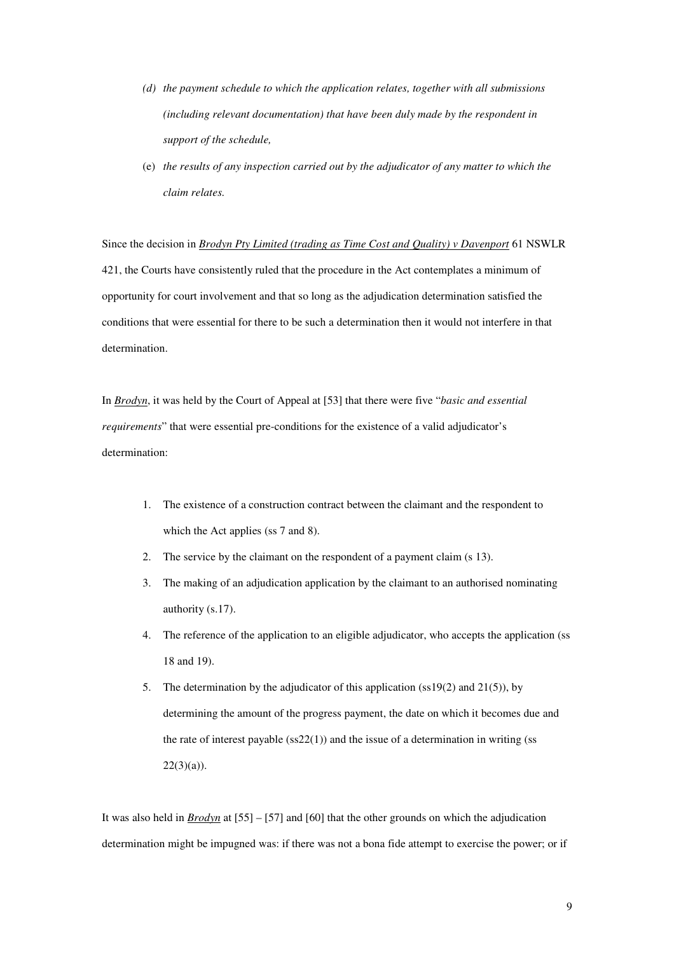- *(d) the payment schedule to which the application relates, together with all submissions (including relevant documentation) that have been duly made by the respondent in support of the schedule,*
- (e) *the results of any inspection carried out by the adjudicator of any matter to which the claim relates.*

Since the decision in *Brodyn Pty Limited (trading as Time Cost and Quality) v Davenport* 61 NSWLR 421, the Courts have consistently ruled that the procedure in the Act contemplates a minimum of opportunity for court involvement and that so long as the adjudication determination satisfied the conditions that were essential for there to be such a determination then it would not interfere in that determination.

In *Brodyn*, it was held by the Court of Appeal at [53] that there were five "*basic and essential requirements*" that were essential pre-conditions for the existence of a valid adjudicator's determination:

- 1. The existence of a construction contract between the claimant and the respondent to which the Act applies (ss 7 and 8).
- 2. The service by the claimant on the respondent of a payment claim (s 13).
- 3. The making of an adjudication application by the claimant to an authorised nominating authority (s.17).
- 4. The reference of the application to an eligible adjudicator, who accepts the application (ss 18 and 19).
- 5. The determination by the adjudicator of this application (ss19 $(2)$ ) and 21 $(5)$ ), by determining the amount of the progress payment, the date on which it becomes due and the rate of interest payable  $(ss22(1))$  and the issue of a determination in writing  $(ss)$  $22(3)(a)$ ).

It was also held in *Brodyn* at [55] – [57] and [60] that the other grounds on which the adjudication determination might be impugned was: if there was not a bona fide attempt to exercise the power; or if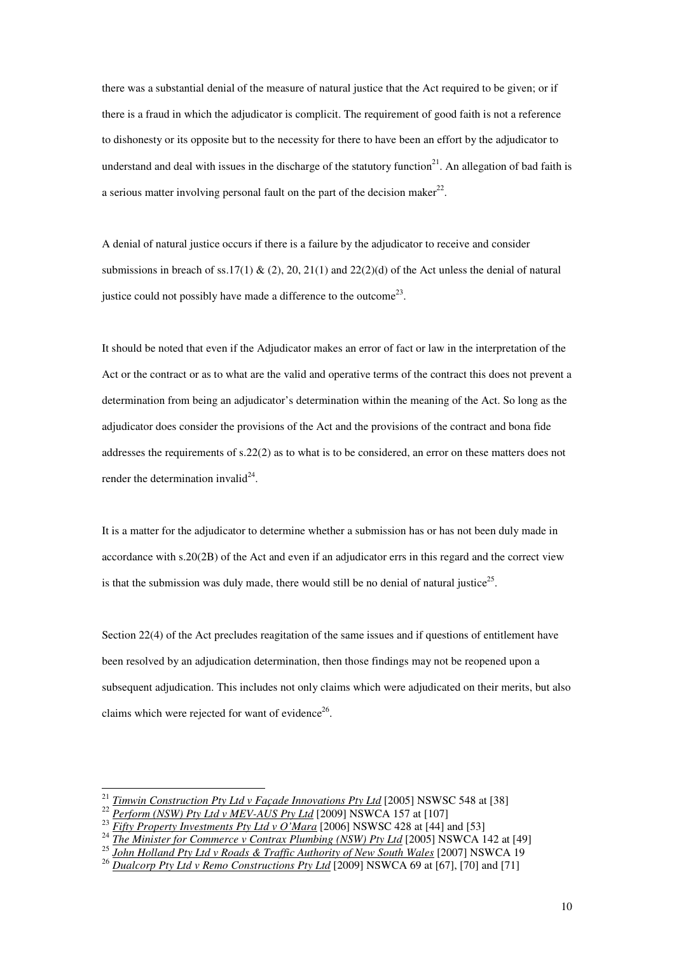there was a substantial denial of the measure of natural justice that the Act required to be given; or if there is a fraud in which the adjudicator is complicit. The requirement of good faith is not a reference to dishonesty or its opposite but to the necessity for there to have been an effort by the adjudicator to understand and deal with issues in the discharge of the statutory function $^{21}$ . An allegation of bad faith is a serious matter involving personal fault on the part of the decision maker $^{22}$ .

A denial of natural justice occurs if there is a failure by the adjudicator to receive and consider submissions in breach of ss.17(1) & (2), 20, 21(1) and 22(2)(d) of the Act unless the denial of natural justice could not possibly have made a difference to the outcome<sup>23</sup>.

It should be noted that even if the Adjudicator makes an error of fact or law in the interpretation of the Act or the contract or as to what are the valid and operative terms of the contract this does not prevent a determination from being an adjudicator's determination within the meaning of the Act. So long as the adjudicator does consider the provisions of the Act and the provisions of the contract and bona fide addresses the requirements of s.22(2) as to what is to be considered, an error on these matters does not render the determination invalid<sup>24</sup>.

It is a matter for the adjudicator to determine whether a submission has or has not been duly made in accordance with s.20(2B) of the Act and even if an adjudicator errs in this regard and the correct view is that the submission was duly made, there would still be no denial of natural justice<sup>25</sup>.

Section 22(4) of the Act precludes reagitation of the same issues and if questions of entitlement have been resolved by an adjudication determination, then those findings may not be reopened upon a subsequent adjudication. This includes not only claims which were adjudicated on their merits, but also claims which were rejected for want of evidence $26$ .

<sup>21</sup> *Timwin Construction Pty Ltd v Façade Innovations Pty Ltd* [2005] NSWSC 548 at [38]

<sup>&</sup>lt;sup>22</sup> *Perform (NSW) Pty Ltd v MEV-AUS Pty Ltd* [2009] NSWCA 157 at [107]

<sup>23</sup> *Fifty Property Investments Pty Ltd v O'Mara* [2006] NSWSC 428 at [44] and [53]

<sup>&</sup>lt;sup>24</sup> *The Minister for Commerce v Contrax Plumbing (NSW) Pty Ltd* [2005] NSWCA 142 at [49]

<sup>&</sup>lt;sup>25</sup> John Holland Pty Ltd v Roads & Traffic Authority of New South Wales<sup> [2007]</sup> NSWCA 19 <sup>26</sup> *Dualcorp Pty Ltd v Remo Constructions Pty Ltd* [2009] NSWCA 69 at [67], [70] and [71]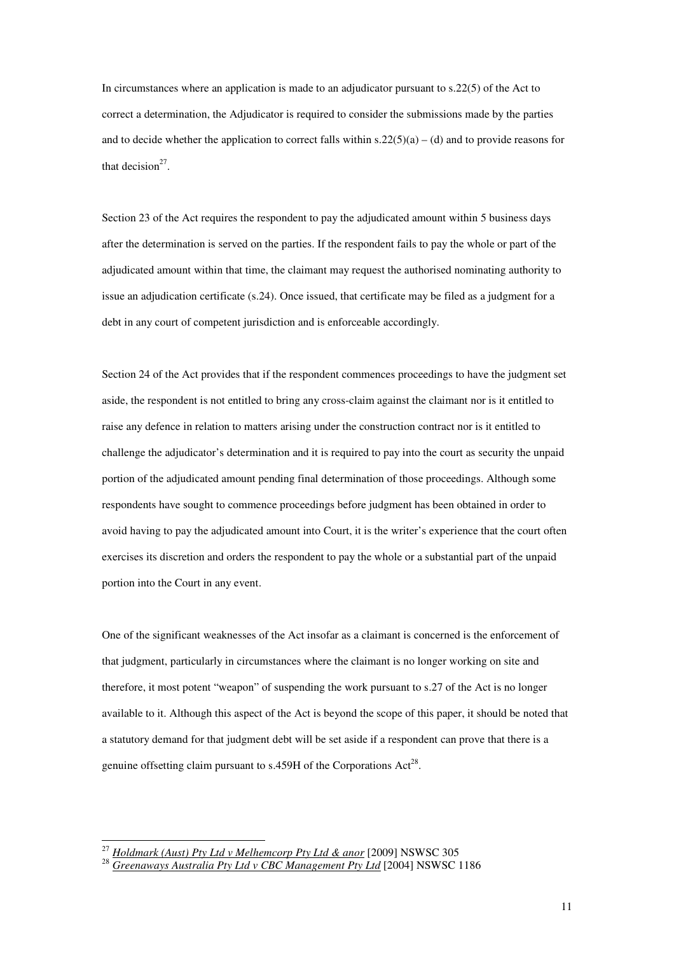In circumstances where an application is made to an adjudicator pursuant to s.22(5) of the Act to correct a determination, the Adjudicator is required to consider the submissions made by the parties and to decide whether the application to correct falls within  $s.22(5)(a) - (d)$  and to provide reasons for that decision<sup>27</sup>.

Section 23 of the Act requires the respondent to pay the adjudicated amount within 5 business days after the determination is served on the parties. If the respondent fails to pay the whole or part of the adjudicated amount within that time, the claimant may request the authorised nominating authority to issue an adjudication certificate (s.24). Once issued, that certificate may be filed as a judgment for a debt in any court of competent jurisdiction and is enforceable accordingly.

Section 24 of the Act provides that if the respondent commences proceedings to have the judgment set aside, the respondent is not entitled to bring any cross-claim against the claimant nor is it entitled to raise any defence in relation to matters arising under the construction contract nor is it entitled to challenge the adjudicator's determination and it is required to pay into the court as security the unpaid portion of the adjudicated amount pending final determination of those proceedings. Although some respondents have sought to commence proceedings before judgment has been obtained in order to avoid having to pay the adjudicated amount into Court, it is the writer's experience that the court often exercises its discretion and orders the respondent to pay the whole or a substantial part of the unpaid portion into the Court in any event.

One of the significant weaknesses of the Act insofar as a claimant is concerned is the enforcement of that judgment, particularly in circumstances where the claimant is no longer working on site and therefore, it most potent "weapon" of suspending the work pursuant to s.27 of the Act is no longer available to it. Although this aspect of the Act is beyond the scope of this paper, it should be noted that a statutory demand for that judgment debt will be set aside if a respondent can prove that there is a genuine offsetting claim pursuant to  $s.459H$  of the Corporations Act<sup>28</sup>.

<sup>27</sup> *Holdmark (Aust) Pty Ltd v Melhemcorp Pty Ltd & anor* [2009] NSWSC 305

<sup>28</sup> *Greenaways Australia Pty Ltd v CBC Management Pty Ltd* [2004] NSWSC 1186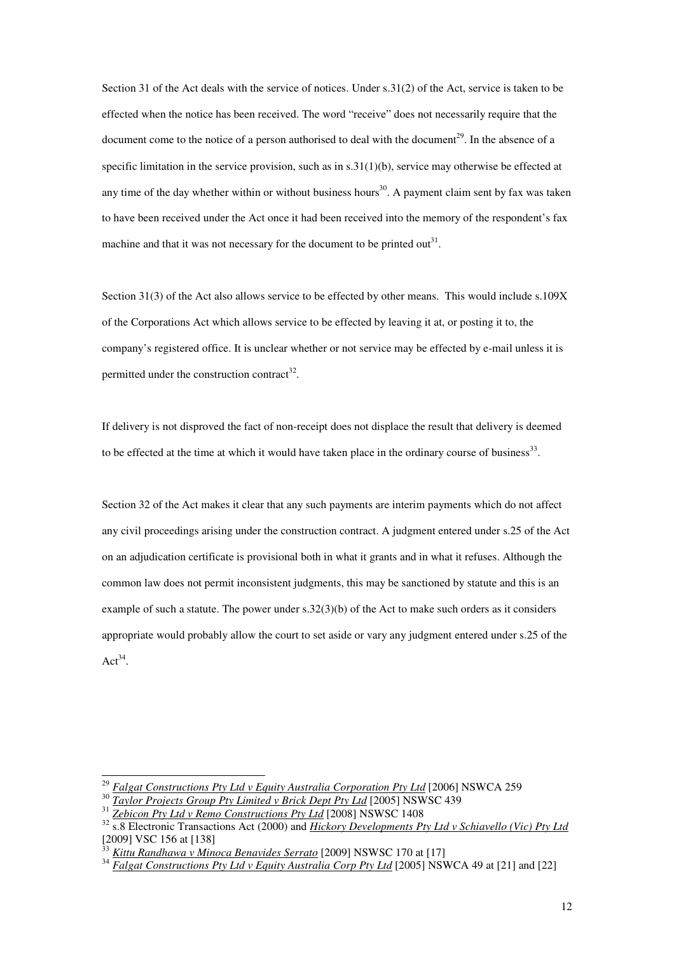Section 31 of the Act deals with the service of notices. Under s.31(2) of the Act, service is taken to be effected when the notice has been received. The word "receive" does not necessarily require that the document come to the notice of a person authorised to deal with the document<sup>29</sup>. In the absence of a specific limitation in the service provision, such as in  $s.31(1)(b)$ , service may otherwise be effected at any time of the day whether within or without business hours<sup>30</sup>. A payment claim sent by fax was taken to have been received under the Act once it had been received into the memory of the respondent's fax machine and that it was not necessary for the document to be printed out<sup>31</sup>.

Section 31(3) of the Act also allows service to be effected by other means. This would include s.109X of the Corporations Act which allows service to be effected by leaving it at, or posting it to, the company's registered office. It is unclear whether or not service may be effected by e-mail unless it is permitted under the construction contract<sup>32</sup>.

If delivery is not disproved the fact of non-receipt does not displace the result that delivery is deemed to be effected at the time at which it would have taken place in the ordinary course of business<sup>33</sup>.

Section 32 of the Act makes it clear that any such payments are interim payments which do not affect any civil proceedings arising under the construction contract. A judgment entered under s.25 of the Act on an adjudication certificate is provisional both in what it grants and in what it refuses. Although the common law does not permit inconsistent judgments, this may be sanctioned by statute and this is an example of such a statute. The power under  $s.32(3)(b)$  of the Act to make such orders as it considers appropriate would probably allow the court to set aside or vary any judgment entered under s.25 of the  $\text{Act}^{34}$ .

<sup>29</sup> *Falgat Constructions Pty Ltd v Equity Australia Corporation Pty Ltd* [2006] NSWCA 259

<sup>30</sup> *Taylor Projects Group Pty Limited v Brick Dept Pty Ltd* [2005] NSWSC 439

<sup>31</sup> *Zebicon Pty Ltd v Remo Constructions Pty Ltd* [2008] NSWSC 1408

<sup>&</sup>lt;sup>32</sup> s.8 Electronic Transactions Act (2000) and *Hickory Developments Pty Ltd v Schiavello (Vic) Pty Ltd* [2009] VSC 156 at [138]

<sup>33</sup> *Kittu Randhawa v Minoca Benavides Serrato* [2009] NSWSC 170 at [17]

<sup>&</sup>lt;sup>34</sup> *Falgat Constructions Pty Ltd v Equity Australia Corp Pty Ltd* [2005] NSWCA 49 at [21] and [22]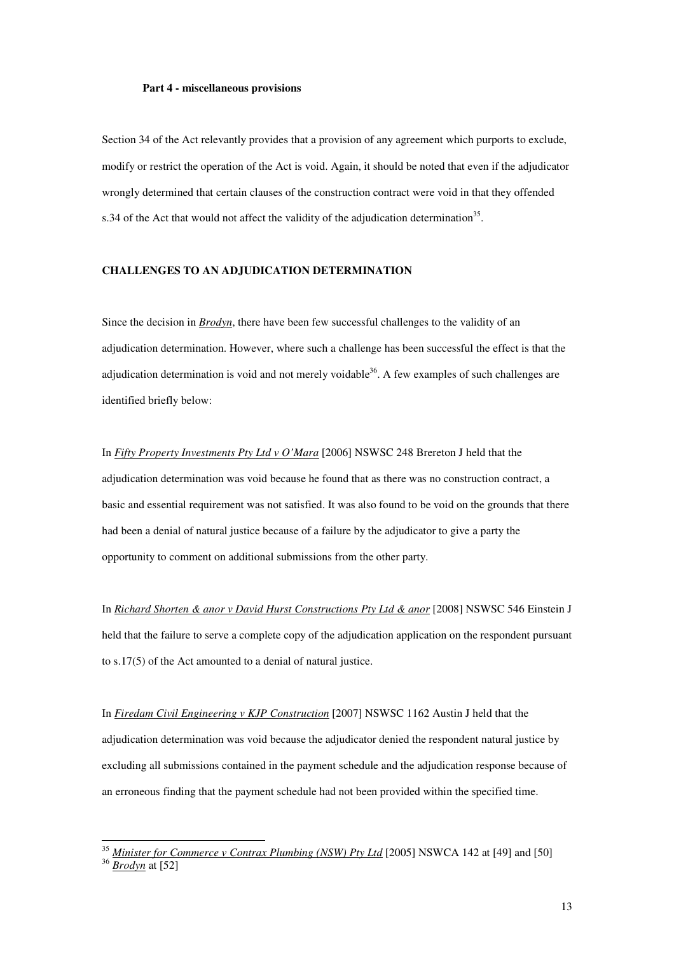#### **Part 4 - miscellaneous provisions**

Section 34 of the Act relevantly provides that a provision of any agreement which purports to exclude, modify or restrict the operation of the Act is void. Again, it should be noted that even if the adjudicator wrongly determined that certain clauses of the construction contract were void in that they offended s.34 of the Act that would not affect the validity of the adjudication determination<sup>35</sup>.

#### **CHALLENGES TO AN ADJUDICATION DETERMINATION**

Since the decision in *Brodyn*, there have been few successful challenges to the validity of an adjudication determination. However, where such a challenge has been successful the effect is that the adjudication determination is void and not merely voidable<sup>36</sup>. A few examples of such challenges are identified briefly below:

In *Fifty Property Investments Pty Ltd v O'Mara* [2006] NSWSC 248 Brereton J held that the adjudication determination was void because he found that as there was no construction contract, a basic and essential requirement was not satisfied. It was also found to be void on the grounds that there had been a denial of natural justice because of a failure by the adjudicator to give a party the opportunity to comment on additional submissions from the other party.

In *Richard Shorten & anor v David Hurst Constructions Pty Ltd & anor* [2008] NSWSC 546 Einstein J held that the failure to serve a complete copy of the adjudication application on the respondent pursuant to s.17(5) of the Act amounted to a denial of natural justice.

In *Firedam Civil Engineering v KJP Construction* [2007] NSWSC 1162 Austin J held that the adjudication determination was void because the adjudicator denied the respondent natural justice by excluding all submissions contained in the payment schedule and the adjudication response because of an erroneous finding that the payment schedule had not been provided within the specified time.

<sup>35</sup> *Minister for Commerce v Contrax Plumbing (NSW) Pty Ltd* [2005] NSWCA 142 at [49] and [50] <sup>36</sup> *Brodyn* at [52]